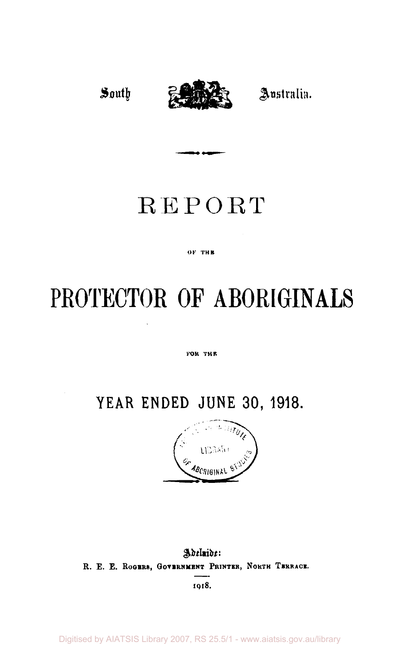# South <del>Parts 25</del> Australia.

# REPORT

#### ог тив

# **PROTECTOR OF ABORIGINALS**

#### FOR THE

# **YEAR ENDED JUNE 30, 1918.**



*Adelaide:*  R. E. E. ROGERS, GOVERNMENT PRINTER, NORTH TERRACE. **1918.** 

Digitised by AIATSIS Library 2007, RS 25.5/1 - www.aiatsis.gov.au/library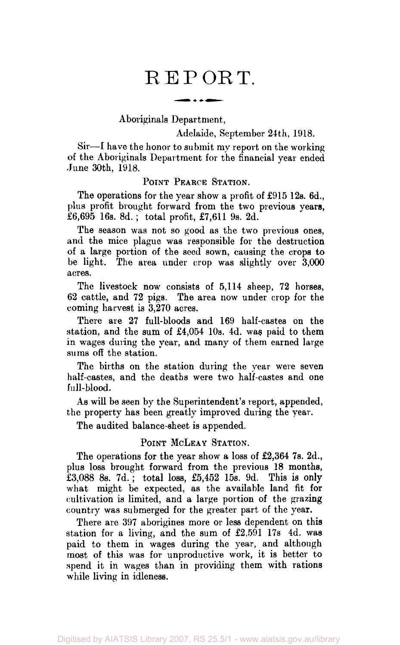# REPORT.

Aboriginals Department,

Adelaide, September 24th, 1918.

Sir—I have the honor to submit my report on the working of the Aboriginals Department for the financial year ended June 30th, 1918.

#### POINT PEARCE STATION.

The operations for the year show a profit of £915 12s. 6d., plus profit brought forward from the two previous years, £6,695 16s. 8d. ; total profit, £7,611 9s. 2d.

The season was not so good as the two previous ones, and the mice plague was responsible for the destruction of a large portion of the seed sown, causing the crops to be light. The area under crop was slightly over 3,000 acres.

The livestock now consists of 5,114 sheep, 72 horses, 62 cattle, and 72 pigs. The area now under crop for the coming harvest is 3,270 acres.

There are 27 full-bloods and 169 half-castes on the station, and the sum of £4,054 10s. 4d. was paid to them in wages during the year, and many of them earned large sums off the station.

The births on the station during the year were seven half-castes, and the deaths were two half-castes and one full-blood.

As will be seen by the Superintendent's report, appended, the property has been greatly improved during the year.

The audited balance-sheet is appended.

#### POINT MCLEAY STATION.

The operations for the year show a loss of £2,364 7s. 2d., plus loss brought forward from the previous 18 months, £3,088 8s. 7d.; total loss, £5,452 15s. 9d. This is only what might be expected, as the available land fit for cultivation is limited, and a large portion of the grazing country was submerged for the greater part of the year.

There are 397 aborigines more or less dependent on this station for a living, and the sum of £2,591 17s 4d. was paid to them in wages during the year, and although most of this was for unproductive work, it is better to spend it in wages than in providing them with rations while living in idleness.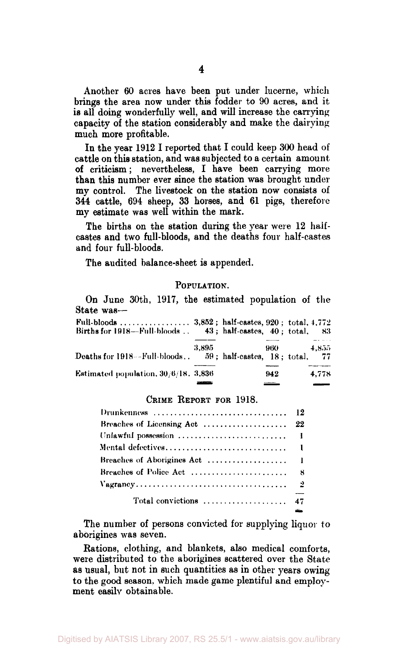Another 60 acres have been put under lucerne, which brings the area now under this fodder to 90 acres, and it is all doing wonderfully well, and will increase the carrying capacity of the station considerably and make the dairying much more profitable.

In the year 1912 I reported that I could keep 300 head of cattle on this station, and was subjected to a certain amount of criticism; nevertheless, I have been carrying more than this number ever since the station was brought under my control. The livestock on the station now consists of 344 cattle, 694 sheep, 33 horses, and 61 pigs, therefore my estimate was well within the mark.

The births on the station during the year were 12 halfcastes and two full-bloods, and the deaths four half-castes and four full-bloods.

The audited balance-sheet is appended.

#### POPULATION.

On June 30th, 1917, the estimated population of the State was-—

| Births for 1918—Full-bloods 43; half-castes. 40: total. |       |       | -83           |
|---------------------------------------------------------|-------|-------|---------------|
| Deaths for 1918—Full-bloods 59; half-castes, 18; total. | 3,895 | 960 — | 4.855<br>- 77 |
| <b>Estimated population, 30/6/18, 3,836</b>             |       | 942   | 4.778         |

#### CRIME REPORT FOR 1918.

| Total convictions  47 |  |
|-----------------------|--|

The number of persons convicted for supplying liquor to aborigines was seven.

Rations, clothing, and blankets, also medical comforts, were distributed to the aborigines scattered over the State as usual, but not in such quantities as in other years owing to the good season, which made game plentiful and employment easily obtainable.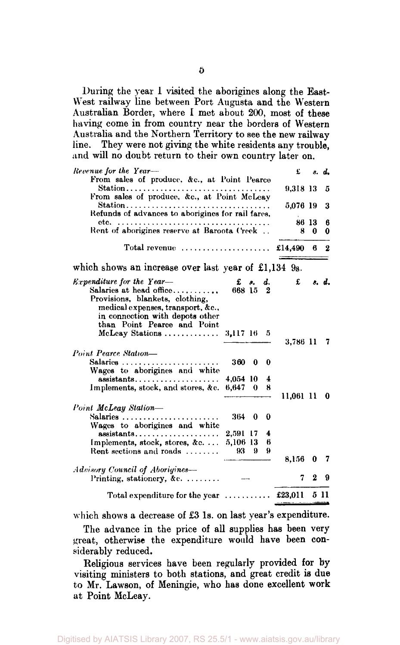During the year 1 visited the aborigines along the East-West railway line between Port Augusta and the Western Australian Border, where I met about 200, most of these having come in from country near the borders of Western Australia and the Northern Territory to see the new railway line. They were not giving the white residents any trouble, and will no doubt return to their own country later on.

| Revenue for the Year-                                                                                                                                                  |                            |    |             | £           |                 | s. d.    |
|------------------------------------------------------------------------------------------------------------------------------------------------------------------------|----------------------------|----|-------------|-------------|-----------------|----------|
| From sales of produce, &c., at Point Pearce<br>Station<br>From sales of produce, &c., at Point McLeay                                                                  |                            |    |             | 9,318 13    |                 | 5        |
| Station<br>Refunds of advances to aborigines for rail fares,                                                                                                           |                            |    |             | 5,076 19    |                 | 3        |
| Rent of aborigines reserve at Baroota Creek                                                                                                                            |                            |    |             | 86 13<br>8  | 0               | 6<br>0   |
| Total revenue $\ldots, \ldots, \ldots, \ldots, \ldots$                                                                                                                 |                            |    |             | £14,490 $6$ |                 | $\bf{2}$ |
| which shows an increase over last year of £1,134 9s.                                                                                                                   |                            |    |             |             |                 |          |
| <i>Expenditure for the Year-</i><br>Salaries at head office<br>Provisions, blankets, clothing,<br>medical expenses, transport, &c.,<br>in connection with depots other | £<br>668 15 2              | а. | d.          |             | $f$ $s$ , $d$ , |          |
| than Point Pearce and Point<br>McLeav Stations $3,117$ 16 5                                                                                                            |                            |    |             | 3,786 11    |                 | 7        |
| Point Pearce Station-<br>Salaries<br>Wages to aborigines and white                                                                                                     | 360 0                      |    | 0           |             |                 |          |
| assistants<br>Implements, stock, and stores, &c. 6,647 0                                                                                                               | 4,054 10                   |    | 4<br>8      | 11.061 11   |                 | - 0      |
| Point McLeay Station-<br>Wages to aborigines and white                                                                                                                 | $364 \quad 0 \quad 0$      |    |             |             |                 |          |
| $\mathbf{assistants}, \ldots, \ldots, \ldots, \ldots, \ldots$<br>Implements, stock, stores, &c<br>Rent sections and roads                                              | 2,591 17<br>5,106 13<br>93 | 9  | 4<br>6<br>9 |             |                 |          |
|                                                                                                                                                                        |                            |    |             | 8,156       | 0               |          |
| Advisory Council of Aborigines—<br>Printing, stationery, &c.                                                                                                           |                            |    |             | 7           | $\bf{2}$        | 9        |
| Total expenditure for the year  £23,011 5 11                                                                                                                           |                            |    |             |             |                 |          |

which shows a decrease of £3 1s. on last year's expenditure.

The advance in the price of all supplies has been very great, otherwise the expenditure would have been considerably reduced.

Religious services have been regularly provided for by visiting ministers to both stations, and great credit is due to Mr. Lawson, of Meningie, who has done excellent work at Point McLeay.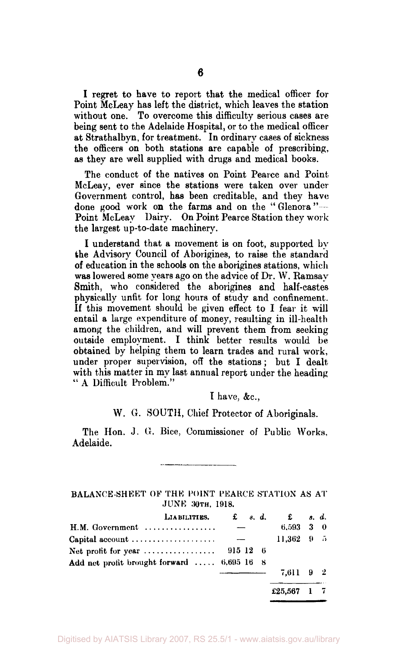I regret to have to report that the medical officer for Point McLeay has left the district, which leaves the station without one. To overcome this difficulty serious cases are being sent to the Adelaide Hospital, or to the medical officer at Strathalbyn, for treatment. In ordinary cases of sickness the officers on both stations are capable of prescribing, as they are well supplied with drugs and medical books.

The conduct of the natives on Point Pearce and Point McLeay, ever since the stations were taken over under Government control, has been creditable, and they have done good work on the farms and on the "Glenora"-Point McLeay Dairy. On Point Pearce Station they work the largest up-to-date machinery.

I understand that a movement is on foot, supported by the Advisory Council of Aborigines, to raise the standard of education in the schools on the aborigines stations, which was lowered some years ago on the advice of Dr. W. Ramsay Smith, who considered the aborigines and half-castes physically unfit for long hours of study and confinement. If this movement should be given effect to I fear it will entail a large expenditure of money, resulting in ill-health among the children, and will prevent them from seeking outside employment. I think better results would be obtained by helping them to learn trades and rural work, under proper supervision, off the stations ; but I dealt with this matter in mv last annual report under the heading " A Difficult Problem."

I have, &c.,

## W. G. SOUTH, Chief Protector of Aboriginals.

The Hon. J. G. Bice, Commissioner of Public Works. Adelaide.

BALANCE-SHEET OF THE POINT PEARCE STATION AS AT JUNE 30TH, 1918.

| LIABILITIES.                                                      |  | $\mathfrak{L}$ s.d. $\mathfrak{L}$ s.d. |  |
|-------------------------------------------------------------------|--|-----------------------------------------|--|
| $H.M. Government$                                                 |  | $6,593$ 3 0                             |  |
| Capital account $\ldots \ldots \ldots \ldots \ldots$              |  | $11.362 + 9 = 5$                        |  |
| Net profit for year $\ldots \ldots \ldots \ldots \ldots$ 915 12 6 |  |                                         |  |
| Add net profit brought forward  6,695 16 8                        |  |                                         |  |
|                                                                   |  | 7.611 9 2                               |  |
|                                                                   |  | £25,567 1 7                             |  |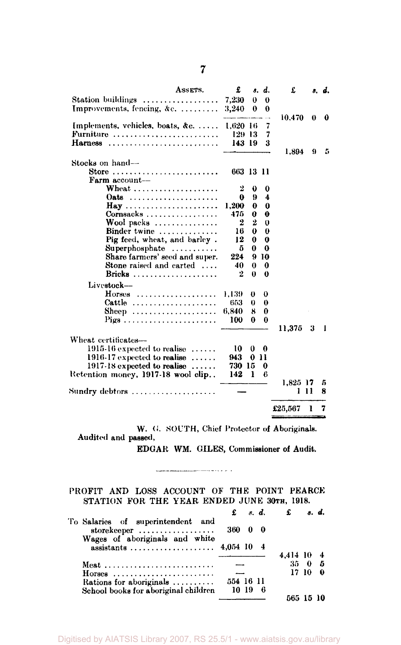| ASSETS.                                               | £         |              | s. d.        | £        |      | s. d. |
|-------------------------------------------------------|-----------|--------------|--------------|----------|------|-------|
| Station buildings                                     | 7,230     | $\theta$     | $\theta$     |          |      |       |
| Improvements, fencing, &c.                            | 3,240     | 0            | 0            |          |      |       |
|                                                       |           |              |              | 10.470   | 0    | 0     |
| Implements, vehicles, boats, &c.                      | 1.620 16  |              | 7            |          |      |       |
| Furniture $\ldots \ldots \ldots \ldots \ldots \ldots$ | 129-13    |              | 7            |          |      |       |
| Harness                                               | 143 19    |              | 3            |          |      |       |
|                                                       |           |              |              | 1,894    | 9    | 5     |
| Stocks on hand-                                       |           |              |              |          |      |       |
| Store                                                 | 663 13 11 |              |              |          |      |       |
| Farm account-                                         |           |              |              |          |      |       |
| Wheat                                                 | 2         | 0            | 0            |          |      |       |
| Oats $\ldots \ldots \ldots \ldots \ldots \ldots$      | 0         | 9            | 4            |          |      |       |
| Hay                                                   | 1.200     | 0            | 0            |          |      |       |
| $Cornsacks$                                           | 475       | 0            | 0            |          |      |       |
| Wool packs                                            | 2         | 2            | $\theta$     |          |      |       |
| Binder twine                                          | 16        | 0            | $\bf{0}$     |          |      |       |
| Pig feed, wheat, and barley.                          | 12        | $\mathbf{0}$ | $\mathbf{0}$ |          |      |       |
| $Supersphosphate$                                     | 5         | 0            | 0            |          |      |       |
| Share farmers' seed and super.                        | 224       |              | 910          |          |      |       |
| Stone raised and carted                               | 40        | $\bf{0}$     | $\bf{0}$     |          |      |       |
| Bricks                                                | 2         | $\bf{0}$     | 0            |          |      |       |
| Livestock-                                            |           |              |              |          |      |       |
| $H$ orses                                             | 1,139.    | 0            | 0            |          |      |       |
| Cattle                                                | 653       | $\theta$     | $\theta$     |          |      |       |
| Sheep                                                 | 6,840     | 8            | 0            |          |      |       |
|                                                       | 100       | 0            | $\theta$     |          |      |       |
|                                                       |           |              |              | 11.375   | 3    | 1     |
| Wheat certificates-                                   |           |              |              |          |      |       |
| $1915.16$ expected to realise $\ldots \ldots$         | 10        | 0            | 0            |          |      |       |
| 1916-17 expected to realise $\dots$                   | 943       | 0            | 11           |          |      |       |
| $1917-18$ expected to realise $\ldots \ldots$         | 730 15    |              | 0            |          |      |       |
| Retention money, 1917-18 wool clip                    | 142       | ı            | 6            |          |      |       |
|                                                       |           |              |              | 1.825 17 |      | 5     |
| Sundry debtors                                        |           |              |              |          | 1 11 | 8     |
|                                                       |           |              |              |          |      |       |
|                                                       |           |              |              | £25,567  | ı    | 7     |
|                                                       |           |              |              |          |      |       |

W. G. SOUTH, Chief Protector of Aboriginals. Audited and passed,

EDGAR WM. GILES, Commissioner of Audit.

## PROFIT AND LOSS ACCOUNT OF THE POINT PEARCE STATION FOR THE YEAR ENDED JUNE 30TH, 1918.

|                                                                                    |                 |       |     | $\mathbf{f}$ $s$ , $d$ , $\mathbf{f}$ | s. d. |     |
|------------------------------------------------------------------------------------|-----------------|-------|-----|---------------------------------------|-------|-----|
| To Salaries of superintendent and<br>storekeeper<br>Wages of aboriginals and white | $360 \t 0 \t 0$ |       |     |                                       |       |     |
|                                                                                    |                 |       |     | 4.414 10                              |       |     |
|                                                                                    |                 |       |     | $35 - 0$                              |       | - 5 |
| $H$ orses                                                                          | $\sim$          |       |     |                                       | 17-10 | 0   |
| Rations for aboriginals                                                            | 554 16 11       |       |     |                                       |       |     |
| School books for aboriginal children                                               |                 | 10-19 | - 6 |                                       |       |     |
|                                                                                    |                 |       |     | 565 15 10                             |       |     |

Digitised by AIATSIS Library 2007, RS 25.5/1 - www.aiatsis.gov.au/library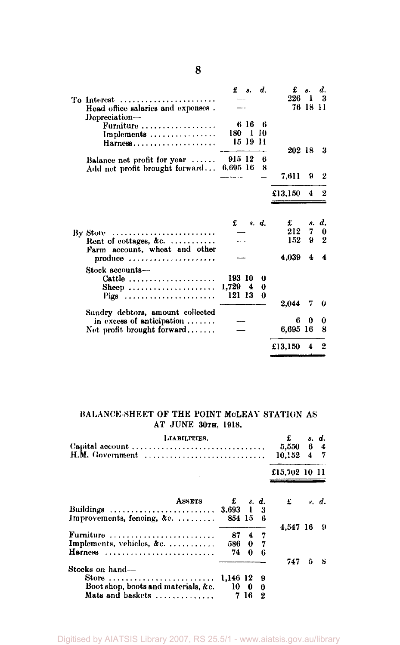|                                                                                        |                             | £ s.     | d.          | £               | м.       | d.                     |
|----------------------------------------------------------------------------------------|-----------------------------|----------|-------------|-----------------|----------|------------------------|
| To Interest $\dots\dots\dots\dots\dots\dots\dots\dots$                                 |                             |          |             | $226 \quad 1$   |          | -3                     |
| Head office salaries and expenses.<br>Depreciation-                                    |                             |          |             |                 | 76 18 11 |                        |
| Furniture                                                                              |                             | 616      | - 6         |                 |          |                        |
| Implements                                                                             | 180 1 10                    |          |             |                 |          |                        |
| Harness                                                                                |                             | 15 19 11 |             |                 |          |                        |
|                                                                                        |                             |          |             | 202 18          |          | - 3                    |
| Balance net profit for year $\ldots$ .                                                 | 915 12                      |          | В           |                 |          |                        |
| Add net profit brought forward                                                         | 6,695 16                    |          | 8           |                 |          |                        |
|                                                                                        |                             |          |             | 7.611           | 9        | $\overline{2}$         |
|                                                                                        |                             |          |             | £13,150         | 4        |                        |
| By Store<br>Rent of cottages, &c.<br>Farm account, wheat and other                     | £                           |          | s. d.       | £<br>212<br>152 | 7<br>9.  | s. d.<br>0<br>$\Omega$ |
| produce                                                                                |                             |          |             | 4.039           | 4        | 4                      |
| Stock accounts-<br>Cattle $\ldots \ldots \ldots \ldots \ldots \ldots$<br>Sheep<br>Pigs | 193 10<br>1,729 4<br>121 13 |          | o<br>0<br>0 | 2.044           |          | 0                      |
| Sundry debtors, amount collected                                                       |                             |          |             |                 | 7        |                        |
| in excess of anticipation $\ldots$                                                     |                             |          |             | ß               | o        | 0                      |
| Net profit brought forward                                                             |                             |          |             | 6,695 16        |          | 8                      |
|                                                                                        |                             |          |             | £13,150         | 4        | $\boldsymbol{2}$       |

### BALANCE-SHEET OF THE POINT MCLEAY STATION AS AT JUNE 30TH, 1918.

| LIABILITIES.                                                 |          |          |    | £                        |   | s. d. |
|--------------------------------------------------------------|----------|----------|----|--------------------------|---|-------|
|                                                              |          |          |    | 5,550 6 4                |   |       |
|                                                              |          |          |    | $10.152 \quad 4 \quad 7$ |   |       |
|                                                              |          |          |    | £15,702 10 11            |   |       |
| <b>ASSETS</b>                                                |          | $f$ s.d. |    | £                        |   | s. d. |
| Buildings  3.693 1 3                                         |          |          |    |                          |   |       |
| Improvements, fencing, &c.                                   | 854 15   |          | 6  |                          |   |       |
|                                                              |          |          |    | 4.547 16                 |   | - 9   |
| Furniture $\ldots \ldots \ldots \ldots \ldots \ldots \ldots$ | 87       |          | 47 |                          |   |       |
| Implements, vehicles, &c.                                    | 586      | 0        | 7  |                          |   |       |
| Harness                                                      | 74       | 0        | 6  |                          |   |       |
| Stocks on hand--                                             |          |          |    | 747                      | 5 | -8    |
| Store                                                        | 1.146 12 |          | 9  |                          |   |       |
| Boot shop, boots and materials, &c.                          | 10       | - 0      | 0  |                          |   |       |
| Mats and baskets                                             |          | 7 16     | 2  |                          |   |       |

Digitised by AIATSIS Library 2007, RS 25.5/1 - www.aiatsis.gov.au/library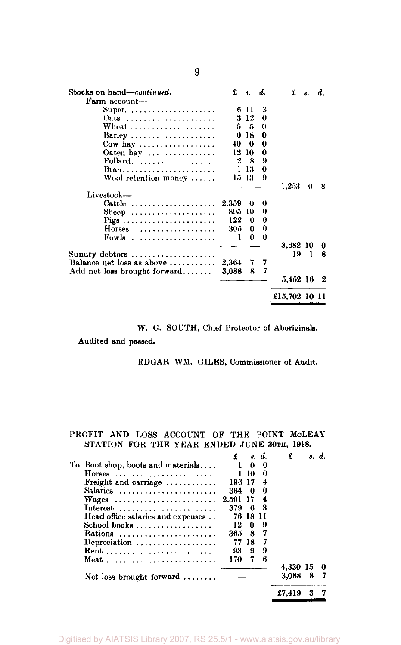| Stocks on hand—continued.                               | £     | 8.    | d.       | £             | 8.  | d. |
|---------------------------------------------------------|-------|-------|----------|---------------|-----|----|
| Farm account-                                           |       |       |          |               |     |    |
| Super. $\ldots \ldots \ldots \ldots \ldots$             |       | 6 H   | 3        |               |     |    |
| Oats                                                    |       | 3 12  | 0        |               |     |    |
|                                                         | 5.    | 5     | 0        |               |     |    |
| $Barley$                                                | 0     | -18   | 0        |               |     |    |
| Cow hay $\dots\dots\dots\dots\dots\dots$                | 40.   | - 0   | 0        |               |     |    |
| Oaten hay $\dots \dots \dots \dots$                     | 12    | 10    | 0        |               |     |    |
| Pollard                                                 | 2     | - 8   | 9        |               |     |    |
| $Bran \ldots \ldots \ldots \ldots \ldots \ldots \ldots$ | ı.    | 13    | 0        |               |     |    |
| Wool retention money                                    |       | 15-13 | 9        |               |     |    |
|                                                         |       |       |          | 1,253         | 0   | 8  |
| Livestock-                                              |       |       |          |               |     |    |
| Cattle                                                  | 2.359 | 0     | 0        |               |     |    |
| Sheep                                                   | 895   | -10   | 0        |               |     |    |
|                                                         | 122   | 0     | 0        |               |     |    |
| $H$ orses                                               | 305   | 0     | $\bf{0}$ |               |     |    |
| Fowls                                                   | 1     | 0     | 0        |               |     |    |
|                                                         |       |       |          | 3,682 10      |     | 0  |
| Sundry debtors $\dots\dots\dots\dots\dots\dots$         |       |       |          | 19            | - 1 | 8  |
| Balance net loss as above $\dots\dots\dots$             | 2.364 | 7     | 7        |               |     |    |
| Add net loss brought forward                            | 3,088 | 8     | 7        |               |     |    |
|                                                         |       |       |          | 5,452 16      |     | 2  |
|                                                         |       |       |          | £15,702 10 11 |     |    |

W. G. SOUTH, Chief Protector of Aboriginals. Audited and passed.

EDGAR WM. GILES, Commissioner of Audit.

PROFIT AND LOSS ACCOUNT OF THE POINT MCLEAY STATION FOR THE YEAR ENDED JUNE 30TH, 1918.

|                                                   |       |          | s. d. | £        |   | s. d. |
|---------------------------------------------------|-------|----------|-------|----------|---|-------|
| To Boot shop, boots and materials                 |       | $\theta$ | 0     |          |   |       |
| $H$ orses                                         |       | 10       | 0     |          |   |       |
| Freight and carriage                              | 196   | 17       | 4     |          |   |       |
| Salaries                                          | 364   | -0       | 0     |          |   |       |
| Wages                                             | 2,591 | 17       | 4     |          |   |       |
| Interest                                          | 379   | -6       | з     |          |   |       |
| Head office salaries and expenses                 | 76    | 18       |       |          |   |       |
| School books                                      | 12    | 0        | 9     |          |   |       |
| Rations                                           | 365   | 8        | 7     |          |   |       |
| Depreciation $\ldots \ldots \ldots \ldots \ldots$ | 77    | 18       | 7     |          |   |       |
|                                                   | 93    | 9        | 9     |          |   |       |
| Meat                                              | 170   | 7        | В     |          |   |       |
|                                                   |       |          |       | 4.330 15 |   |       |
| Net loss brought forward $\ldots \ldots$          |       |          |       | 3.088    | 8 | 7     |
|                                                   |       |          |       | £7.419   |   |       |
|                                                   |       |          |       |          |   |       |

**9**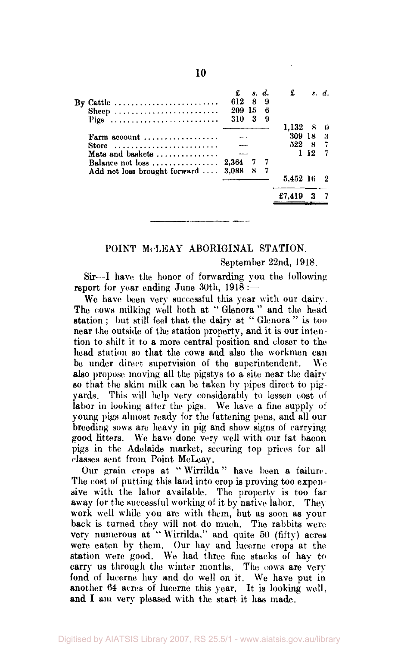|                                                      |        |     | s. d. | £             |     | s. d. |
|------------------------------------------------------|--------|-----|-------|---------------|-----|-------|
| By Cattle                                            | 612    | 8   | 9     |               |     |       |
| Sheep                                                | 209 15 |     | в     |               |     |       |
| Pigs                                                 | 310    | -3  | 9     |               |     |       |
|                                                      |        |     |       | $1.132 \pm 8$ |     |       |
| Farm account $\ldots \ldots \ldots \ldots$           |        |     |       | 309 18        |     | -3    |
| Store                                                |        |     |       | 522 8 7       |     |       |
| Mats and baskets $\ldots$ ,,,,,,,,,,,,,              |        |     |       |               | 112 |       |
| Balance net loss $\ldots \ldots \ldots \ldots 2,364$ |        | -77 |       |               |     |       |
| Add net loss brought forward  3,088                  |        | -87 |       |               |     |       |
|                                                      |        |     |       | 5.452 16 2    |     |       |
|                                                      |        |     |       | £7.419        |     |       |

#### POINT McLEAY ABORIGINAL STATION.

September 22nd, 1918.

Sir—I have the honor of forwarding you the following report for year ending June 30th, 1918 :—

We have been very successful this year with our dairy. The cows milking well both at " Glenora" and the head station ; but still feel that the dairy at " Glenora " is too near the outside of the station property, and it is our intention to shift it to a more central position and closer to the head station so that the cows and also the workmen can be under direct supervision of the superintendent. We also propose moving all the pigstys to a site near the dairy so that the skim milk can be taken by pipes direct to pigyards. This will help very considerably to lessen cost of labor in looking after the pigs. We have a fine supply of young pigs almost ready for the fattening pens, and all our breeding sows are heavy in pig and show signs of carrying good litters. We have done very well with our fat bacon pigs in the Adelaide market, securing top prices for all classes sent from Point McLeay.

Our grain crops at " Wirrilda" have been a failure. The cost of putting this land into crop is proving too expensive with the labor available. The property is too far away for the successful working of it by native labor. They work well while you are with them, but as soon as your back is turned they will not do much. The rabbits were very numerous at "Wirrilda," and quite 50 (fifty) acres were eaten by them. Our hay and lucerne crops at the station were good. We had three fine stacks of hay to carry us through the winter months. The cows are very fond of lucerne hay and do well on it. We have put in another 64 acres of lucerne this year. It is looking well, and I am very pleased with the start it has made.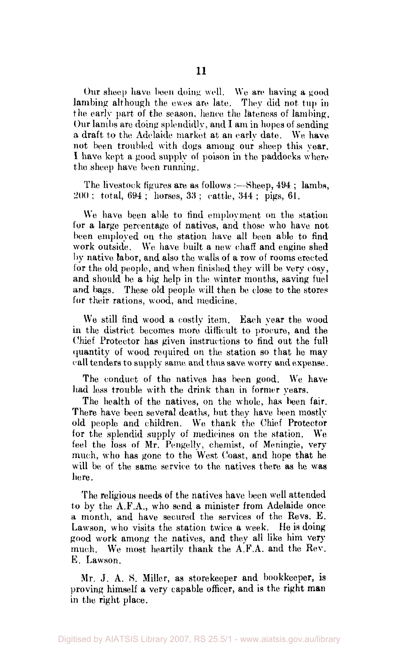Our sheep have been doing well. We are having a good lambing although the ewes are late. They did not tup in the early part of the season, hence the lateness of lambing. Our lambs are doing splendidly, and I am in hopes of sending a draft to the Adelaide market at an early date. We have not been troubled with dogs among our sheep this year. I have kept a good supply of poison in the paddocks where the sheep have been running.

The livestock figures are as follows :—Sheep, 494; lambs, 200 ; total, 694 ; horses, 33 ; cattle, 344 ; pigs, 61.

We have been able to find employment on the station for a large percentage of natives, and those who have not been employed on the station have all been able to find work outside. We have built a new chaff and engine shed by native labor, and also the walls of a row of rooms erected for the old people, and when finished they will be very cosy, and should be a big help in the winter months, saving fuel and bags. These old people will then be close to the stores for their rations, wood, and medicine.

We still find wood a costly item. Each year the wood in the district becomes more difficult to procure, and the Chief Protector has given instructions to find out the full quantity of wood required on the station so that he may call tenders to supply same and thus save worry and expense.

The conduct of the natives has been good. We have had less trouble with the drink than in former years.

The health of the natives, on the whole, has been fair. There have been several deaths, but they have been mostly old people and children. We thank the Chief Protector for the splendid supply of medicines on the station. We feel the loss of Mr. Pengelly, chemist, of Meningie, very much, who has gone to the West Coast, and hope that he will be of the same service to the natives there as he was here.

The religious needs of the natives have been well attended to by the A.F.A., who send a minister from Adelaide once a month, and have secured the services of the Revs. E. Lawson, who visits the station twice a week. He is doing good work among the natives, and they all like him very much. We most heartily thank the A.F.A. and the Rev. E. Lawson.

Mr. J. A. S. Miller, as storekeeper and bookkeeper, is proving himself a very capable officer, and is the right man in the right place.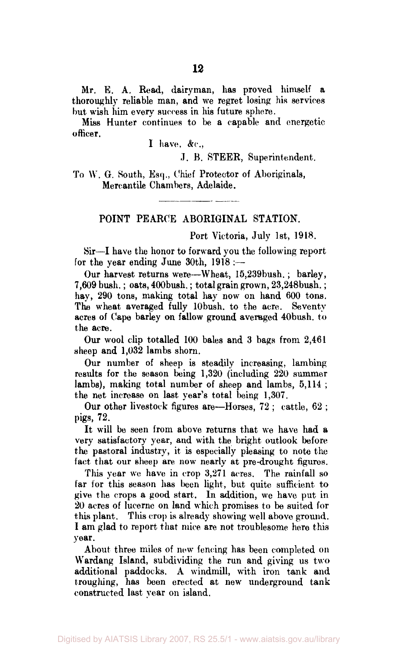Mr. E. A. Read, dairyman, has proved himself a thoroughly reliable man, and we regret losing his services but wish him every success in his future sphere.

Miss Hunter continues to be a capable and energetic officer.

I have, &c,

J. B. STEER, Superintendent.

To W. G. South, Esq., Chief Protector of Aboriginals, Mercantile Chambers, Adelaide.

### POINT PEARCE ABORIGINAL STATION.

Port Victoria, July 1st, 1918.

Sir—I have the honor to forward you the following report for the year ending June 30th, 1918 :—

Our harvest returns were—Wheat, 15,239bush. ; barley, 7,609 bush.; oats, 400bush.; total grain grown, 23,248bush.; hay, 290 tons, making total hay now on hand 600 tons. The wheat averaged fully 10 bush, to the acre. Seventy acres of Cape barley on fallow ground averaged 40bush. to the acre.

Our wool clip totalled 100 bales and 3 bags from 2,461 sheep and 1,032 lambs shorn.

Our number of sheep is steadily increasing, lambing results for the season being 1,320 (including 220 summer lambs), making total number of sheep and lambs, 5,114 ; the net increase on last year's total being 1,307.

Our other livestock figures are—Horses, 72 ; cattle, 62 ; pigs, 72.

It will be seen from above returns that we have had a very satisfactory year, and with the bright outlook before the pastoral industry, it is especially pleasing to note the fact that our sheep are now nearly at pre-drought figures.

This year we have in crop 3,271 acres. The rainfall so far for this season has been light, but quite sufficient to give the crops a good start. In addition, we have put in 20 acres of lucerne on land which promises to be suited for this plant. This crop is already showing well above ground. I am glad to report that mice are not troublesome here this year.

About three miles of new fencing has been completed on Wardang Island, subdividing the run and giving us two additional paddocks. A windmill, with iron tank and troughing, has been erected at new underground tank constructed last year on island.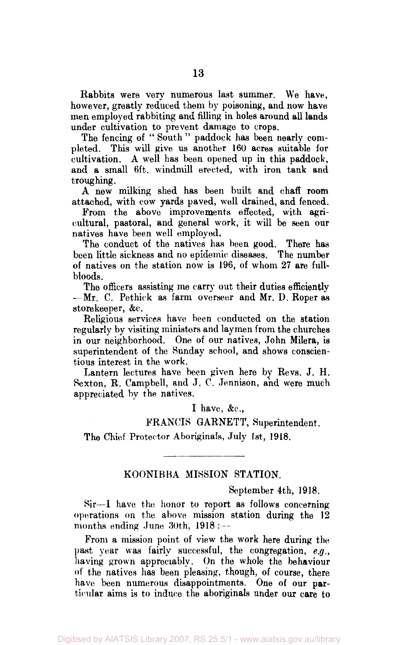Rabbits were very numerous last summer. We have, however, greatly reduced them by poisoning, and now have men employed rabbiting and filling in holes around all lands under cultivation to prevent damage to crops.

The fencing of "South" paddock has been nearly completed. This will give us another 160 acres suitable for cultivation. A well has been opened up in this paddock, and a small 6ft. windmill erected, with iron tank and troughing.

A new milking shed has been built and chaff room attached, with cow yards paved, well drained, and fenced.

Prom the above improvements effected, with agricultural, pastoral, and general work, it will be seen our natives have been well employed.

The conduct of the natives has been good. There has been little sickness and no epidemic diseases. The number of natives on the station now is 196, of whom 27 are fullbloods.

The officers assisting me carry out their duties efficiently —Mr. C. Pethick as farm overseer and Mr. D. Roper as storekeeper, &c.

Religious services have been conducted on the station regularly by visiting ministers and laymen from the churches in our neighborhood. One of our natives, John Milera, is superintendent of the Sunday school, and shows conscientious interest in the work.

Lantern lectures have been given here by Revs. J. H. Sexton, R. Campbell, and J. C. Jennison, and were much appreciated by the natives.

I have,  $\&c$ .

FRANCIS GARNETT, Superintendent.

The Chief Protector Aboriginals, July 1st, 1918.

#### KOONIBBA MISSION STATION.

September 4th, 1918.

Sir—I have the honor to report as follows concerning operations on the above mission station during the 12 months ending June 30th, 1918 :---

From a mission point of view the work here during the past year was fairly successful, the congregation, *e.g.,*  having grown appreciably. On the whole the behaviour of the natives has been pleasing, though, of course, there have been numerous disappointments. One of our particular aims is to induce the aboriginals under our care to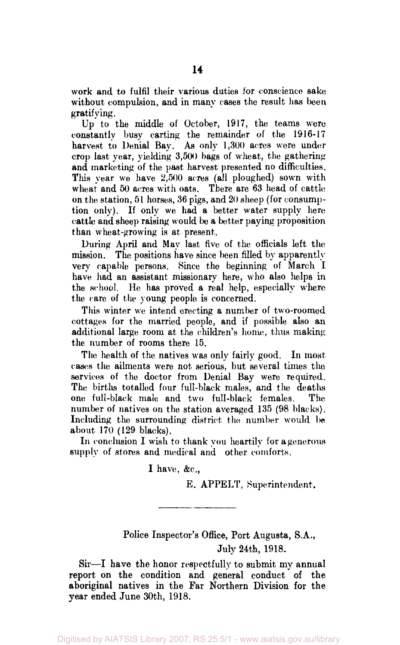work and to fulfil their various duties for conscience sake without compulsion, and in many cases the result has been gratifying.

Up to the middle of October, 1917, the teams were constantly busy carting the remainder of the 1916-17 harvest to Denial Bay. As only 1,300 acres were under crop last year, yielding 3,500 bags of wheat, the gathering and marketing of the past harvest presented no difficulties. This year we have 2,500 acres (all ploughed) sown with wheat and 50 acres with oats. There are 63 head of cattle on the station, 51 horses, 36 pigs, and 20 sheep (for consumption only). If only we had a better water supply here cattle and sheep raising would be a better paying proposition than wheat-growing is at present.

During April and May last five of the officials left the mission. The positions have since been filled by apparently very capable persons. Since the beginning of March I have had an assistant missionary here, who also helps in the school. He has proved a real help, especially where the care of the young people is concerned.

This winter we intend erecting a number of two-roomed cottages for the married people, and if possible also an additional large room at the children's home, thus making the number of rooms there 15.

The health of the natives was only fairly good. In most cases the ailments were not serious, but several times the services of the doctor from Denial Bay were required. The births totalled four full-black males, and the deaths one full-black male and two full-black females. The number of natives on the station averaged 135 (98 blacks). Including the surrounding district the number would be about 170 (129 blacks).

In conclusion I wish to thank you heartily for a generous supply of stores and medical and other comforts.

I have,  $&c$ .

E. APPELT, Superintendent.

## Police Inspector's Office, Port Augusta, S.A., July 24th, 1918.

Sir—I have the honor respectfully to submit my annual report on the condition and general conduct of the aboriginal natives in the Far Northern Division for the year ended June 30th, 1918.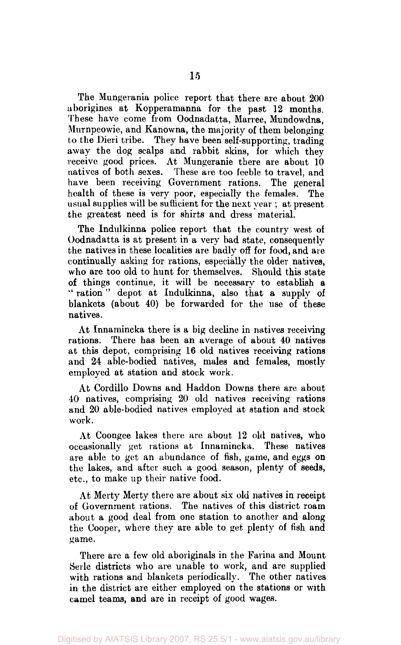The Mungerania police report that there are about 200 aborigines at Kopperamanna for the past 12 months. These have come from Oodnadatta, Marree, Mundowdna, Murnpeowie, and Kanowna, the majority of them belonging to the Dieri tribe. They have been self-supporting, trading away the dog scalps and rabbit skins, for which they receive good prices. At Mungeranie there are about 10 natives of both sexes. These are too feeble to travel, and have been receiving Government rations. The general health of these is very poor, especially the females. The usual supplies will be sufficient for the next year ; at present the greatest need is for shirts and dress material.

The Indulkinna police report that the country west of Oodnadatta is at present in a very bad state, consequently the natives in these localities are badly off for food, and are continually asking for rations, especially the older natives, who are too old to hunt for themselves. Should this state of things continue, it will be necessary to establish a " ration" depot at Indulkinna, also that a supply of blankets (about 40) be forwarded for the use of these natives.

At Innamincka there is a big decline in natives receiving rations. There has been an average of about 40 natives at this depot, comprising 16 old natives receiving rations and 24 able-bodied natives, males and females, mostly employed at station and stock work.

At Cordillo Downs and Haddon Downs there are about 10 natives, comprising 20 old natives receiving rations and 20 able-bodied natives employed at station and stock work.

At Coongee lakes there are about 12 old natives, who occasionally get rations at Innamincka. These natives are able to get an abundance of fish, game, and eggs on the lakes, and after such a good season, plenty of seeds, etc., to make up their native food.

At Merty Merty there are about six old natives in receipt of Government rations. The natives of this district roam about a good deal from one station to another and along the Cooper, where they are able to get plenty of fish and game.

There are a few old aboriginals in the Farina and Mount Serle districts who are unable to work, and are supplied with rations and blankets periodically. The other natives in the district are either employed on the stations or with camel teams, and are in receipt of good wages.